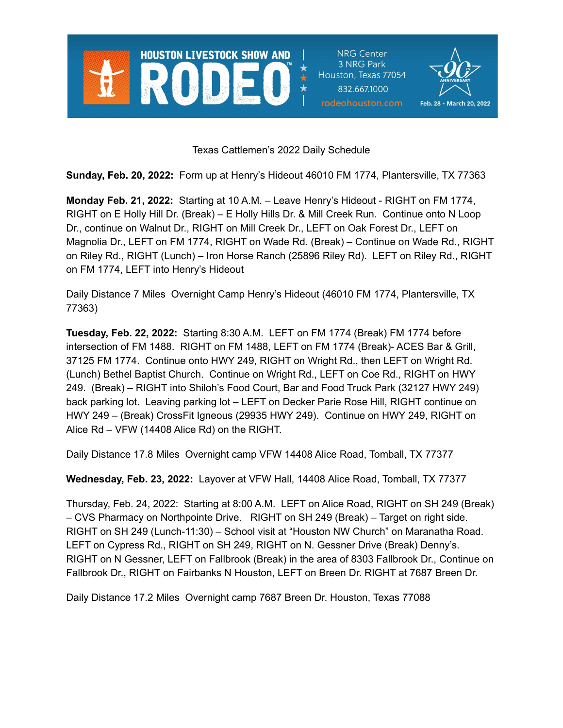

**NRG Center** 3 NRG Park Houston, Texas 77054 832.667.1000 rodeohouston.com



Texas Cattlemen's 2022 Daily Schedule

**Sunday, Feb. 20, 2022:** Form up at Henry's Hideout 46010 FM 1774, Plantersville, TX 77363

**Monday Feb. 21, 2022:** Starting at 10 A.M. – Leave Henry's Hideout - RIGHT on FM 1774, RIGHT on E Holly Hill Dr. (Break) – E Holly Hills Dr. & Mill Creek Run. Continue onto N Loop Dr., continue on Walnut Dr., RIGHT on Mill Creek Dr., LEFT on Oak Forest Dr., LEFT on Magnolia Dr., LEFT on FM 1774, RIGHT on Wade Rd. (Break) – Continue on Wade Rd., RIGHT on Riley Rd., RIGHT (Lunch) – Iron Horse Ranch (25896 Riley Rd). LEFT on Riley Rd., RIGHT on FM 1774, LEFT into Henry's Hideout

Daily Distance 7 Miles Overnight Camp Henry's Hideout (46010 FM 1774, Plantersville, TX 77363)

**Tuesday, Feb. 22, 2022:** Starting 8:30 A.M. LEFT on FM 1774 (Break) FM 1774 before intersection of FM 1488. RIGHT on FM 1488, LEFT on FM 1774 (Break)- ACES Bar & Grill, 37125 FM 1774. Continue onto HWY 249, RIGHT on Wright Rd., then LEFT on Wright Rd. (Lunch) Bethel Baptist Church. Continue on Wright Rd., LEFT on Coe Rd., RIGHT on HWY 249. (Break) – RIGHT into Shiloh's Food Court, Bar and Food Truck Park (32127 HWY 249) back parking lot. Leaving parking lot – LEFT on Decker Parie Rose Hill, RIGHT continue on HWY 249 – (Break) CrossFit Igneous (29935 HWY 249). Continue on HWY 249, RIGHT on Alice Rd – VFW (14408 Alice Rd) on the RIGHT.

Daily Distance 17.8 Miles Overnight camp VFW 14408 Alice Road, Tomball, TX 77377

**Wednesday, Feb. 23, 2022:** Layover at VFW Hall, 14408 Alice Road, Tomball, TX 77377

Thursday, Feb. 24, 2022: Starting at 8:00 A.M. LEFT on Alice Road, RIGHT on SH 249 (Break) – CVS Pharmacy on Northpointe Drive. RIGHT on SH 249 (Break) – Target on right side. RIGHT on SH 249 (Lunch-11:30) – School visit at "Houston NW Church" on Maranatha Road. LEFT on Cypress Rd., RIGHT on SH 249, RIGHT on N. Gessner Drive (Break) Denny's. RIGHT on N Gessner, LEFT on Fallbrook (Break) in the area of 8303 Fallbrook Dr., Continue on Fallbrook Dr., RIGHT on Fairbanks N Houston, LEFT on Breen Dr. RIGHT at 7687 Breen Dr.

Daily Distance 17.2 Miles Overnight camp 7687 Breen Dr. Houston, Texas 77088